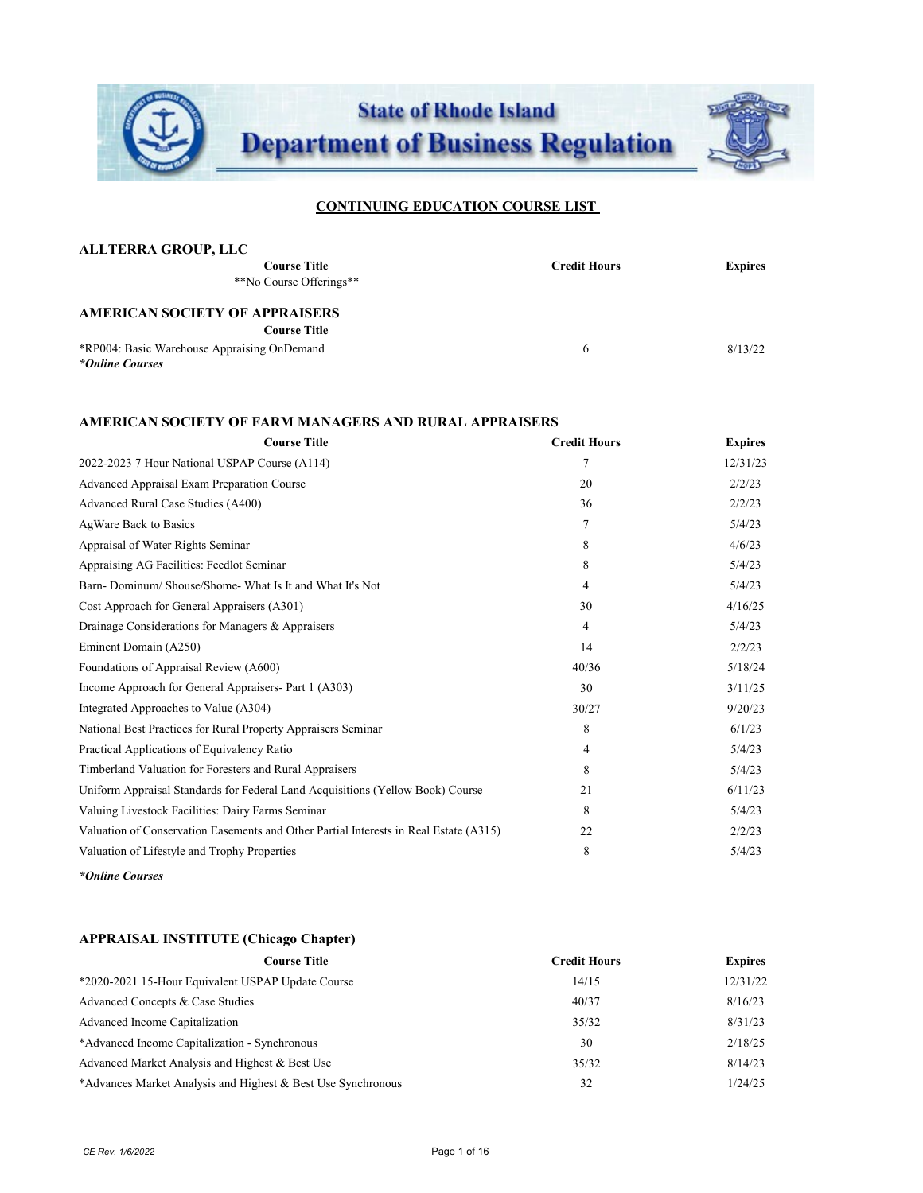

| <b>ALLTERRA GROUP, LLC</b>                  |                     |                |
|---------------------------------------------|---------------------|----------------|
| <b>Course Title</b>                         | <b>Credit Hours</b> | <b>Expires</b> |
| **No Course Offerings**                     |                     |                |
| <b>AMERICAN SOCIETY OF APPRAISERS</b>       |                     |                |
| <b>Course Title</b>                         |                     |                |
| *RP004: Basic Warehouse Appraising OnDemand | 6                   | 8/13/22        |
| *Online Courses                             |                     |                |

## **AMERICAN SOCIETY OF FARM MANAGERS AND RURAL APPRAISERS**

| <b>Course Title</b>                                                                   | <b>Credit Hours</b> | <b>Expires</b> |
|---------------------------------------------------------------------------------------|---------------------|----------------|
| 2022-2023 7 Hour National USPAP Course (A114)                                         | 7                   | 12/31/23       |
| <b>Advanced Appraisal Exam Preparation Course</b>                                     | 20                  | 2/2/23         |
| Advanced Rural Case Studies (A400)                                                    | 36                  | 2/2/23         |
| AgWare Back to Basics                                                                 | 7                   | 5/4/23         |
| Appraisal of Water Rights Seminar                                                     | 8                   | 4/6/23         |
| Appraising AG Facilities: Feedlot Seminar                                             | 8                   | 5/4/23         |
| Barn-Dominum/Shouse/Shome-What Is It and What It's Not                                | 4                   | 5/4/23         |
| Cost Approach for General Appraisers (A301)                                           | 30                  | 4/16/25        |
| Drainage Considerations for Managers & Appraisers                                     | 4                   | 5/4/23         |
| Eminent Domain (A250)                                                                 | 14                  | 2/2/23         |
| Foundations of Appraisal Review (A600)                                                | 40/36               | 5/18/24        |
| Income Approach for General Appraisers- Part 1 (A303)                                 | 30                  | 3/11/25        |
| Integrated Approaches to Value (A304)                                                 | 30/27               | 9/20/23        |
| National Best Practices for Rural Property Appraisers Seminar                         | 8                   | 6/1/23         |
| Practical Applications of Equivalency Ratio                                           | 4                   | 5/4/23         |
| Timberland Valuation for Foresters and Rural Appraisers                               | 8                   | 5/4/23         |
| Uniform Appraisal Standards for Federal Land Acquisitions (Yellow Book) Course        | 21                  | 6/11/23        |
| Valuing Livestock Facilities: Dairy Farms Seminar                                     | 8                   | 5/4/23         |
| Valuation of Conservation Easements and Other Partial Interests in Real Estate (A315) | 22                  | 2/2/23         |
| Valuation of Lifestyle and Trophy Properties                                          | 8                   | 5/4/23         |

*\*Online Courses* 

#### **APPRAISAL INSTITUTE (Chicago Chapter)**

| <b>Course Title</b>                                          | <b>Credit Hours</b> | <b>Expires</b> |
|--------------------------------------------------------------|---------------------|----------------|
| *2020-2021 15-Hour Equivalent USPAP Update Course            | 14/15               | 12/31/22       |
| Advanced Concepts & Case Studies                             | 40/37               | 8/16/23        |
| Advanced Income Capitalization                               | 35/32               | 8/31/23        |
| *Advanced Income Capitalization - Synchronous                | 30                  | 2/18/25        |
| Advanced Market Analysis and Highest & Best Use              | 35/32               | 8/14/23        |
| *Advances Market Analysis and Highest & Best Use Synchronous | 32                  | 1/24/25        |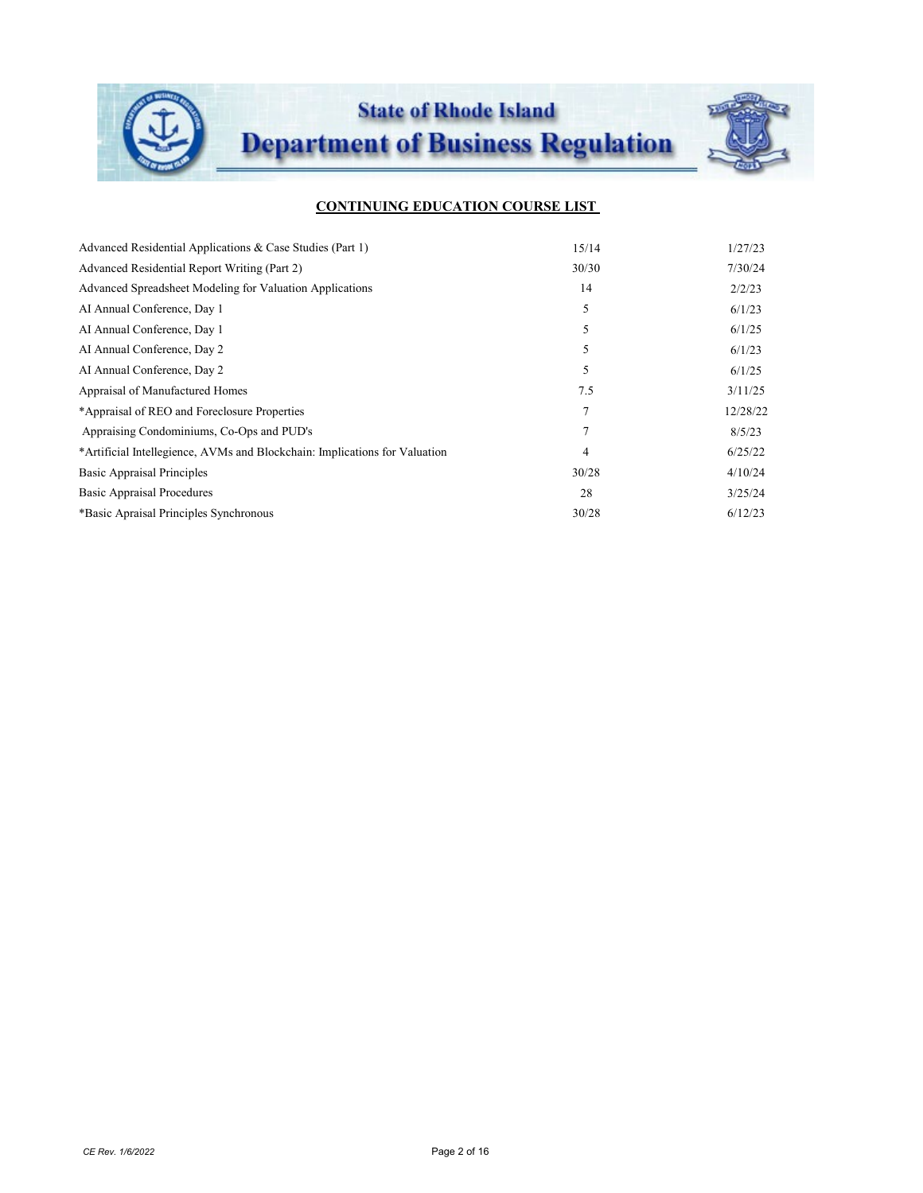

| Advanced Residential Applications & Case Studies (Part 1)                  | 15/14          | 1/27/23  |
|----------------------------------------------------------------------------|----------------|----------|
| Advanced Residential Report Writing (Part 2)                               | 30/30          | 7/30/24  |
| Advanced Spreadsheet Modeling for Valuation Applications                   | 14             | 2/2/23   |
| AI Annual Conference, Day 1                                                | 5              | 6/1/23   |
| AI Annual Conference, Day 1                                                | 5              | 6/1/25   |
| AI Annual Conference, Day 2                                                | 5              | 6/1/23   |
| AI Annual Conference, Day 2                                                | 5              | 6/1/25   |
| Appraisal of Manufactured Homes                                            | 7.5            | 3/11/25  |
| *Appraisal of REO and Foreclosure Properties                               | $\overline{7}$ | 12/28/22 |
| Appraising Condominiums, Co-Ops and PUD's                                  | $\overline{7}$ | 8/5/23   |
| *Artificial Intellegience, AVMs and Blockchain: Implications for Valuation | 4              | 6/25/22  |
| <b>Basic Appraisal Principles</b>                                          | 30/28          | 4/10/24  |
| <b>Basic Appraisal Procedures</b>                                          | 28             | 3/25/24  |
| *Basic Apraisal Principles Synchronous                                     | 30/28          | 6/12/23  |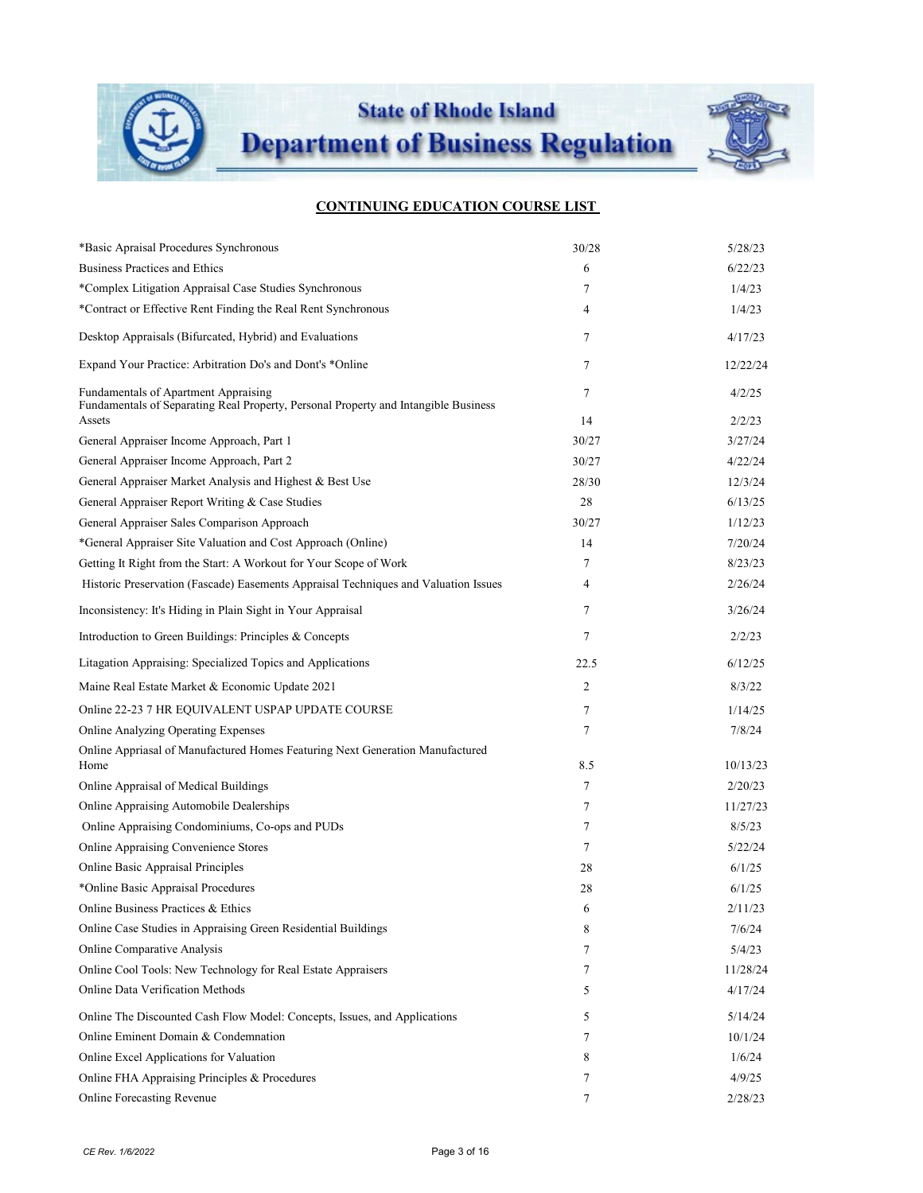

**State of Rhode Island** 

**Department of Business Regulation** 



| *Basic Apraisal Procedures Synchronous                                                                                                | 30/28   | 5/28/23          |
|---------------------------------------------------------------------------------------------------------------------------------------|---------|------------------|
| <b>Business Practices and Ethics</b>                                                                                                  | 6       | 6/22/23          |
| *Complex Litigation Appraisal Case Studies Synchronous                                                                                | 7       | 1/4/23           |
| *Contract or Effective Rent Finding the Real Rent Synchronous                                                                         | 4       | 1/4/23           |
| Desktop Appraisals (Bifurcated, Hybrid) and Evaluations                                                                               | 7       | 4/17/23          |
| Expand Your Practice: Arbitration Do's and Dont's *Online                                                                             | 7       | 12/22/24         |
| Fundamentals of Apartment Appraising<br>Fundamentals of Separating Real Property, Personal Property and Intangible Business<br>Assets | 7<br>14 | 4/2/25<br>2/2/23 |
| General Appraiser Income Approach, Part 1                                                                                             | 30/27   | 3/27/24          |
| General Appraiser Income Approach, Part 2                                                                                             | 30/27   | 4/22/24          |
| General Appraiser Market Analysis and Highest & Best Use                                                                              | 28/30   | 12/3/24          |
| General Appraiser Report Writing & Case Studies                                                                                       | 28      | 6/13/25          |
| General Appraiser Sales Comparison Approach                                                                                           | 30/27   | 1/12/23          |
| *General Appraiser Site Valuation and Cost Approach (Online)                                                                          | 14      | 7/20/24          |
| Getting It Right from the Start: A Workout for Your Scope of Work                                                                     | 7       | 8/23/23          |
| Historic Preservation (Fascade) Easements Appraisal Techniques and Valuation Issues                                                   | 4       | 2/26/24          |
| Inconsistency: It's Hiding in Plain Sight in Your Appraisal                                                                           | 7       | 3/26/24          |
| Introduction to Green Buildings: Principles & Concepts                                                                                | 7       | 2/2/23           |
| Litagation Appraising: Specialized Topics and Applications                                                                            | 22.5    | 6/12/25          |
| Maine Real Estate Market & Economic Update 2021                                                                                       | 2       | 8/3/22           |
| Online 22-23 7 HR EQUIVALENT USPAP UPDATE COURSE                                                                                      | 7       | 1/14/25          |
| Online Analyzing Operating Expenses                                                                                                   | 7       | 7/8/24           |
| Online Appriasal of Manufactured Homes Featuring Next Generation Manufactured<br>Home                                                 | 8.5     | 10/13/23         |
| Online Appraisal of Medical Buildings                                                                                                 | 7       | 2/20/23          |
| Online Appraising Automobile Dealerships                                                                                              | 7       | 11/27/23         |
| Online Appraising Condominiums, Co-ops and PUDs                                                                                       | 7       | 8/5/23           |
| Online Appraising Convenience Stores                                                                                                  | 7       | 5/22/24          |
| Online Basic Appraisal Principles                                                                                                     | 28      | 6/1/25           |
| *Online Basic Appraisal Procedures                                                                                                    | 28      | 6/1/25           |
| Online Business Practices & Ethics                                                                                                    | 6       | 2/11/23          |
| Online Case Studies in Appraising Green Residential Buildings                                                                         | 8       | 7/6/24           |
| Online Comparative Analysis                                                                                                           | 7       | 5/4/23           |
| Online Cool Tools: New Technology for Real Estate Appraisers                                                                          | 7       | 11/28/24         |
| Online Data Verification Methods                                                                                                      | 5       | 4/17/24          |
| Online The Discounted Cash Flow Model: Concepts, Issues, and Applications                                                             | 5       | 5/14/24          |
| Online Eminent Domain & Condemnation                                                                                                  | 7       | 10/1/24          |
| Online Excel Applications for Valuation                                                                                               | 8       | 1/6/24           |
| Online FHA Appraising Principles & Procedures                                                                                         | 7       | 4/9/25           |
| Online Forecasting Revenue                                                                                                            | 7       | 2/28/23          |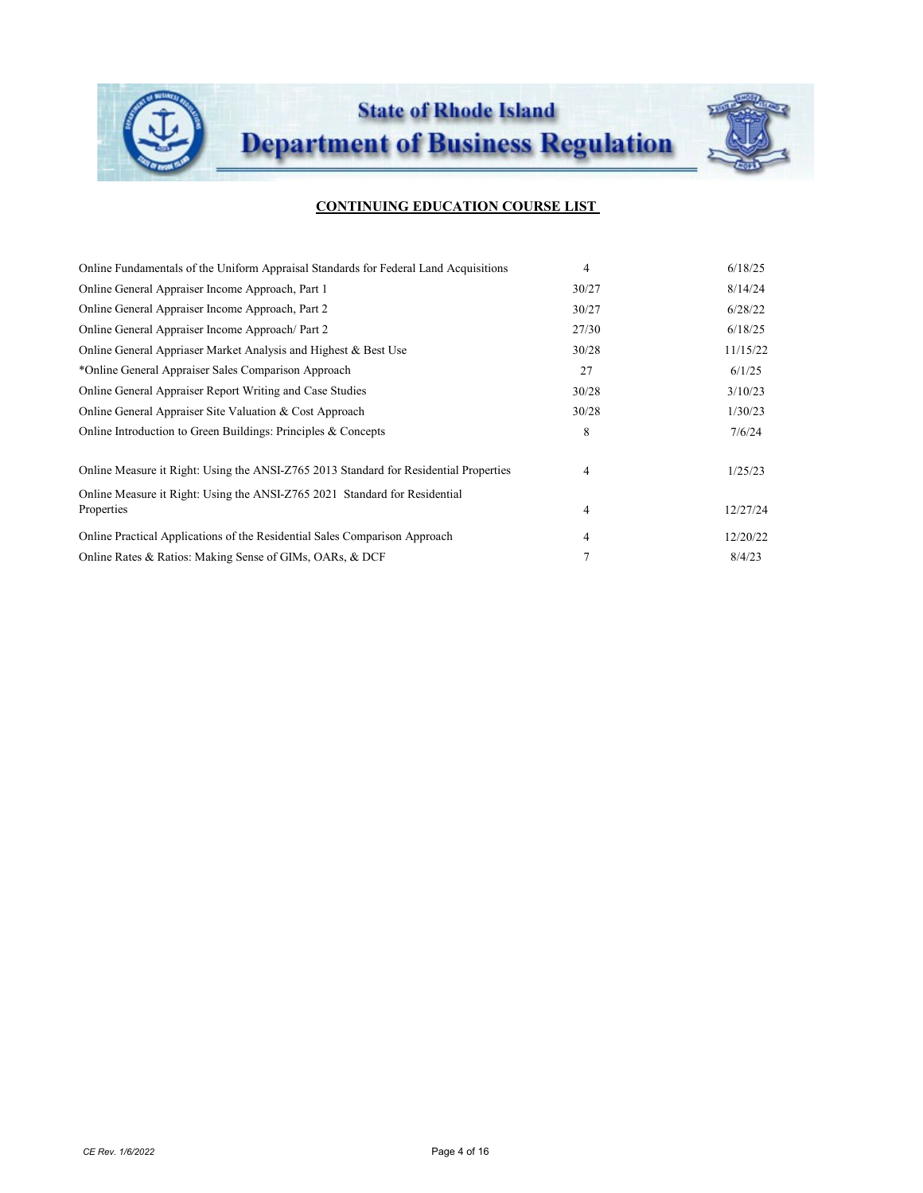

| Online Fundamentals of the Uniform Appraisal Standards for Federal Land Acquisitions     | 4     | 6/18/25  |
|------------------------------------------------------------------------------------------|-------|----------|
| Online General Appraiser Income Approach, Part 1                                         | 30/27 | 8/14/24  |
| Online General Appraiser Income Approach, Part 2                                         | 30/27 | 6/28/22  |
| Online General Appraiser Income Approach/Part 2                                          | 27/30 | 6/18/25  |
| Online General Appriaser Market Analysis and Highest & Best Use                          | 30/28 | 11/15/22 |
| *Online General Appraiser Sales Comparison Approach                                      | 27    | 6/1/25   |
| Online General Appraiser Report Writing and Case Studies                                 | 30/28 | 3/10/23  |
| Online General Appraiser Site Valuation & Cost Approach                                  | 30/28 | 1/30/23  |
| Online Introduction to Green Buildings: Principles & Concepts                            | 8     | 7/6/24   |
| Online Measure it Right: Using the ANSI-Z765 2013 Standard for Residential Properties    | 4     | 1/25/23  |
| Online Measure it Right: Using the ANSI-Z765 2021 Standard for Residential<br>Properties | 4     | 12/27/24 |
| Online Practical Applications of the Residential Sales Comparison Approach               | 4     | 12/20/22 |
| Online Rates & Ratios: Making Sense of GIMs, OARs, & DCF                                 |       | 8/4/23   |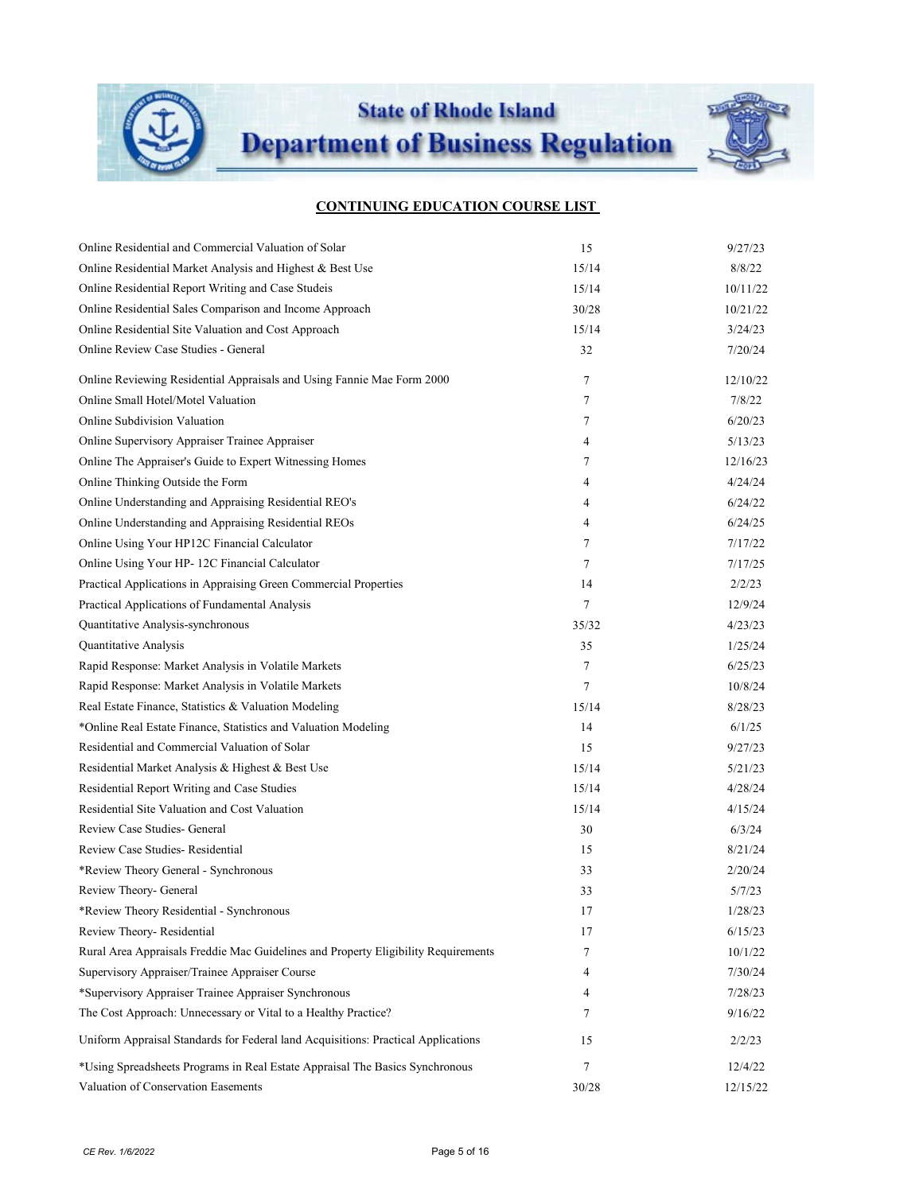

**State of Rhode Island** 

**Department of Business Regulation** 



| Online Residential and Commercial Valuation of Solar                               | 15     | 9/27/23  |
|------------------------------------------------------------------------------------|--------|----------|
| Online Residential Market Analysis and Highest & Best Use                          | 15/14  | 8/8/22   |
| Online Residential Report Writing and Case Studeis                                 | 15/14  | 10/11/22 |
| Online Residential Sales Comparison and Income Approach                            | 30/28  | 10/21/22 |
| Online Residential Site Valuation and Cost Approach                                | 15/14  | 3/24/23  |
| Online Review Case Studies - General                                               | 32     | 7/20/24  |
| Online Reviewing Residential Appraisals and Using Fannie Mae Form 2000             | 7      | 12/10/22 |
| Online Small Hotel/Motel Valuation                                                 | 7      | 7/8/22   |
| Online Subdivision Valuation                                                       | 7      | 6/20/23  |
| Online Supervisory Appraiser Trainee Appraiser                                     | 4      | 5/13/23  |
| Online The Appraiser's Guide to Expert Witnessing Homes                            | 7      | 12/16/23 |
| Online Thinking Outside the Form                                                   | 4      | 4/24/24  |
| Online Understanding and Appraising Residential REO's                              | 4      | 6/24/22  |
| Online Understanding and Appraising Residential REOs                               | 4      | 6/24/25  |
| Online Using Your HP12C Financial Calculator                                       | 7      | 7/17/22  |
| Online Using Your HP-12C Financial Calculator                                      | 7      | 7/17/25  |
| Practical Applications in Appraising Green Commercial Properties                   | 14     | 2/2/23   |
| Practical Applications of Fundamental Analysis                                     | $\tau$ | 12/9/24  |
| Quantitative Analysis-synchronous                                                  | 35/32  | 4/23/23  |
| Quantitative Analysis                                                              | 35     | 1/25/24  |
| Rapid Response: Market Analysis in Volatile Markets                                | $\tau$ | 6/25/23  |
| Rapid Response: Market Analysis in Volatile Markets                                | $\tau$ | 10/8/24  |
| Real Estate Finance, Statistics & Valuation Modeling                               | 15/14  | 8/28/23  |
| *Online Real Estate Finance, Statistics and Valuation Modeling                     | 14     | 6/1/25   |
| Residential and Commercial Valuation of Solar                                      | 15     | 9/27/23  |
| Residential Market Analysis & Highest & Best Use                                   | 15/14  | 5/21/23  |
| Residential Report Writing and Case Studies                                        | 15/14  | 4/28/24  |
| Residential Site Valuation and Cost Valuation                                      | 15/14  | 4/15/24  |
| Review Case Studies- General                                                       | 30     | 6/3/24   |
| Review Case Studies-Residential                                                    | 15     | 8/21/24  |
| *Review Theory General - Synchronous                                               | 33     | 2/20/24  |
| Review Theory- General                                                             | 33     | 5/7/23   |
| *Review Theory Residential - Synchronous                                           | 17     | 1/28/23  |
| Review Theory-Residential                                                          | 17     | 6/15/23  |
| Rural Area Appraisals Freddie Mac Guidelines and Property Eligibility Requirements | 7      | 10/1/22  |
| Supervisory Appraiser/Trainee Appraiser Course                                     | 4      | 7/30/24  |
| *Supervisory Appraiser Trainee Appraiser Synchronous                               | 4      | 7/28/23  |
| The Cost Approach: Unnecessary or Vital to a Healthy Practice?                     | 7      | 9/16/22  |
| Uniform Appraisal Standards for Federal land Acquisitions: Practical Applications  | 15     | 2/2/23   |
| *Using Spreadsheets Programs in Real Estate Appraisal The Basics Synchronous       | 7      | 12/4/22  |
| Valuation of Conservation Easements                                                | 30/28  | 12/15/22 |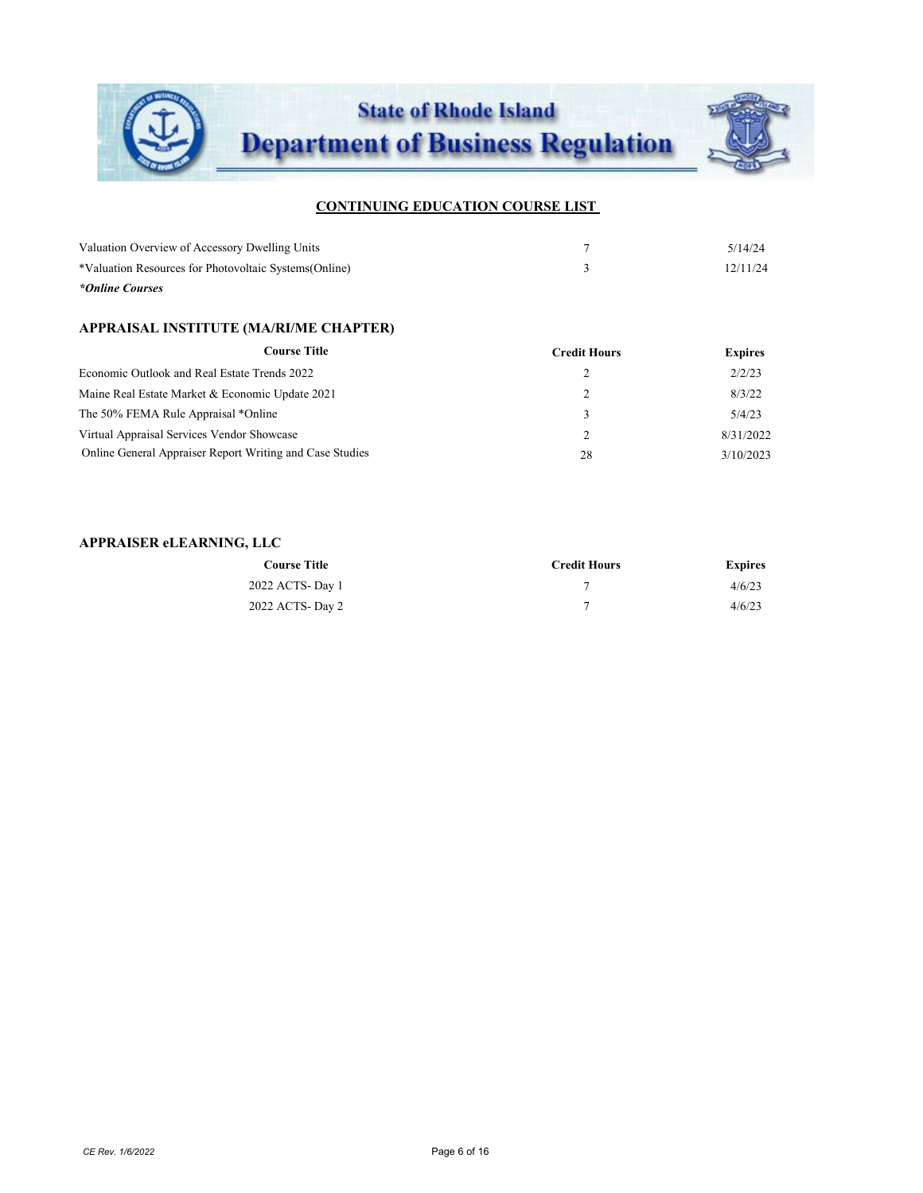

| *Online Courses                                        |          |
|--------------------------------------------------------|----------|
| *Valuation Resources for Photovoltaic Systems (Online) | 12/11/24 |
| Valuation Overview of Accessory Dwelling Units         | 5/14/24  |

## **APPRAISAL INSTITUTE (MA/RI/ME CHAPTER)**

| <b>Course Title</b>                                      | <b>Credit Hours</b> | <b>Expires</b> |
|----------------------------------------------------------|---------------------|----------------|
| Economic Outlook and Real Estate Trends 2022             |                     | 2/2/23         |
| Maine Real Estate Market & Economic Update 2021          |                     | 8/3/22         |
| The 50% FEMA Rule Appraisal *Online                      |                     | 5/4/23         |
| Virtual Appraisal Services Vendor Showcase               |                     | 8/31/2022      |
| Online General Appraiser Report Writing and Case Studies | 28                  | 3/10/2023      |

### **APPRAISER eLEARNING, LLC**

| <b>Course Title</b> | <b>Credit Hours</b> | <b>Expires</b> |
|---------------------|---------------------|----------------|
| 2022 ACTS-Day 1     |                     | 4/6/23         |
| 2022 ACTS- Day 2    |                     | 4/6/23         |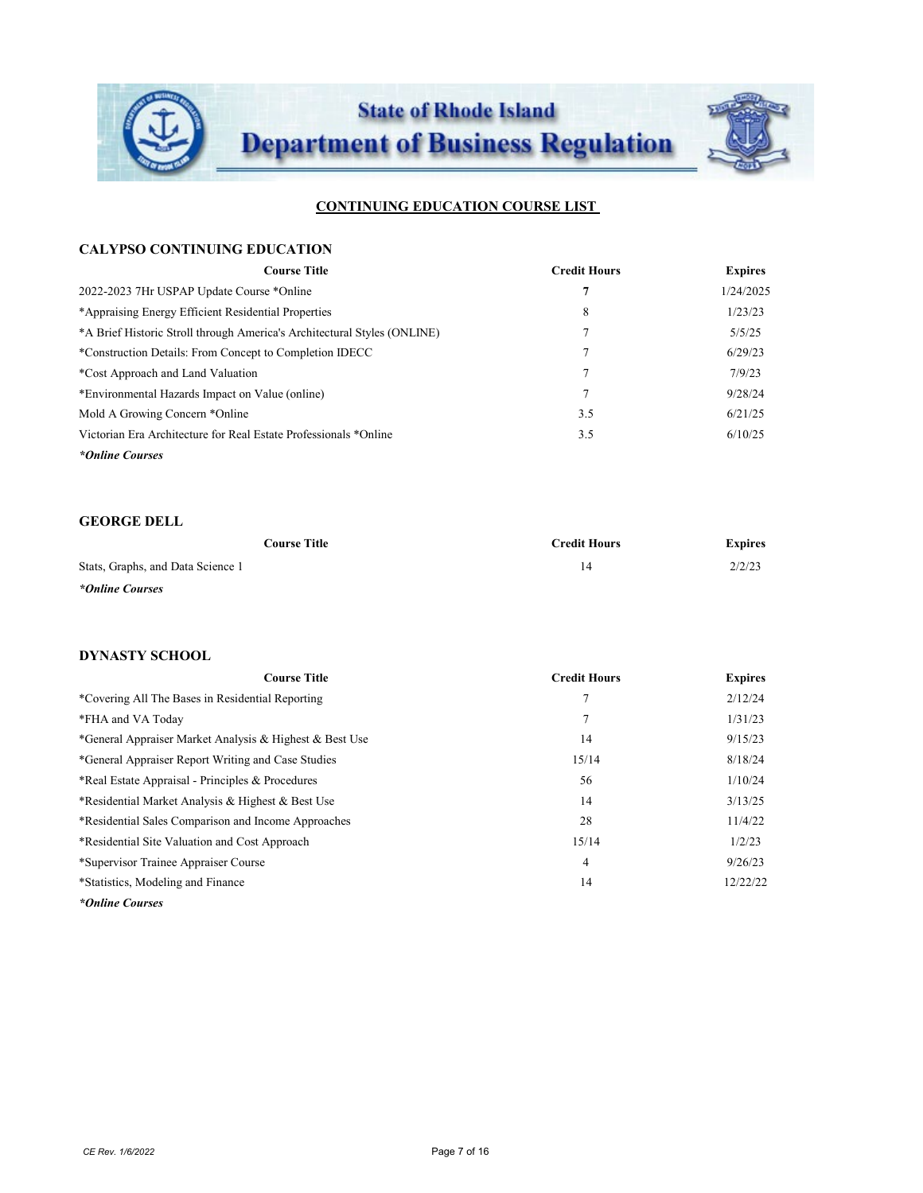

#### **CALYPSO CONTINUING EDUCATION**

| <b>Course Title</b>                                                      | <b>Credit Hours</b> | <b>Expires</b> |
|--------------------------------------------------------------------------|---------------------|----------------|
| 2022-2023 7Hr USPAP Update Course *Online                                | 7                   | 1/24/2025      |
| *Appraising Energy Efficient Residential Properties                      | 8                   | 1/23/23        |
| *A Brief Historic Stroll through America's Architectural Styles (ONLINE) |                     | 5/5/25         |
| *Construction Details: From Concept to Completion IDECC                  |                     | 6/29/23        |
| *Cost Approach and Land Valuation                                        | π                   | 7/9/23         |
| *Environmental Hazards Impact on Value (online)                          | 7                   | 9/28/24        |
| Mold A Growing Concern *Online                                           | 3.5                 | 6/21/25        |
| Victorian Era Architecture for Real Estate Professionals *Online         | 3.5                 | 6/10/25        |
| *Online Courses                                                          |                     |                |

## **GEORGE DELL**

| Course Title                      | <b>Credit Hours</b> | <b>Expires</b> |
|-----------------------------------|---------------------|----------------|
| Stats, Graphs, and Data Science 1 | 14                  | 2/2/23         |
| *Online Courses                   |                     |                |

#### **DYNASTY SCHOOL**

| <b>Course Title</b>                                     | <b>Credit Hours</b> | <b>Expires</b> |
|---------------------------------------------------------|---------------------|----------------|
| *Covering All The Bases in Residential Reporting        | 7                   | 2/12/24        |
| *FHA and VA Today                                       | 7                   | 1/31/23        |
| *General Appraiser Market Analysis & Highest & Best Use | 14                  | 9/15/23        |
| *General Appraiser Report Writing and Case Studies      | 15/14               | 8/18/24        |
| *Real Estate Appraisal - Principles & Procedures        | 56                  | 1/10/24        |
| *Residential Market Analysis & Highest & Best Use       | 14                  | 3/13/25        |
| *Residential Sales Comparison and Income Approaches     | 28                  | 11/4/22        |
| *Residential Site Valuation and Cost Approach           | 15/14               | 1/2/23         |
| *Supervisor Trainee Appraiser Course                    | 4                   | 9/26/23        |
| *Statistics, Modeling and Finance                       | 14                  | 12/22/22       |
| *Online Courses                                         |                     |                |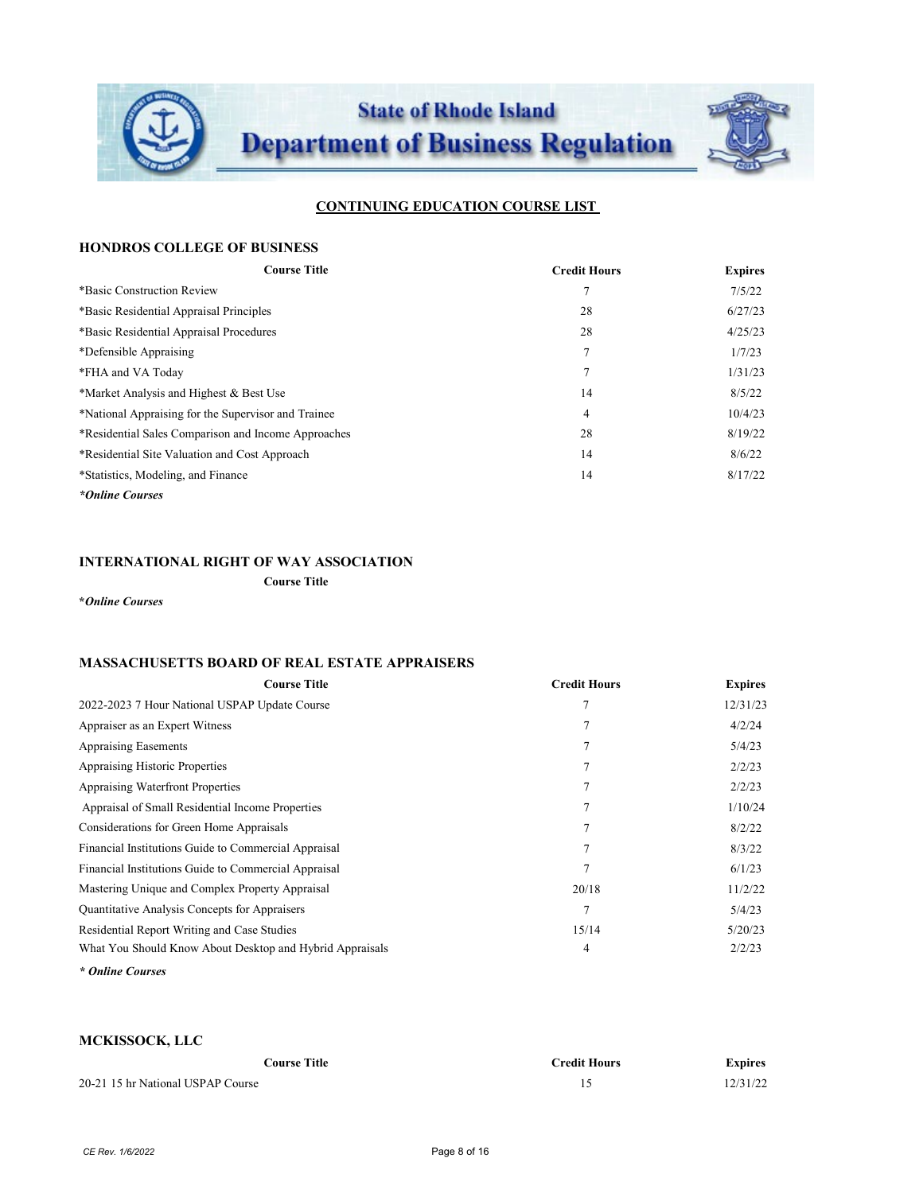

### **HONDROS COLLEGE OF BUSINESS**

| <b>Course Title</b>                                 | <b>Credit Hours</b> | <b>Expires</b> |
|-----------------------------------------------------|---------------------|----------------|
| *Basic Construction Review                          |                     | 7/5/22         |
| *Basic Residential Appraisal Principles             | 28                  | 6/27/23        |
| *Basic Residential Appraisal Procedures             | 28                  | 4/25/23        |
| *Defensible Appraising                              | 7                   | 1/7/23         |
| *FHA and VA Today                                   | 7                   | 1/31/23        |
| *Market Analysis and Highest & Best Use             | 14                  | 8/5/22         |
| *National Appraising for the Supervisor and Trainee | 4                   | 10/4/23        |
| *Residential Sales Comparison and Income Approaches | 28                  | 8/19/22        |
| *Residential Site Valuation and Cost Approach       | 14                  | 8/6/22         |
| *Statistics, Modeling, and Finance                  | 14                  | 8/17/22        |
| *Online Courses                                     |                     |                |

# **INTERNATIONAL RIGHT OF WAY ASSOCIATION**

**Course Title**

**\****Online Courses*

#### **MASSACHUSETTS BOARD OF REAL ESTATE APPRAISERS**

| <b>Course Title</b>                                      | <b>Credit Hours</b> | <b>Expires</b> |
|----------------------------------------------------------|---------------------|----------------|
| 2022-2023 7 Hour National USPAP Update Course            | $\overline{7}$      | 12/31/23       |
| Appraiser as an Expert Witness                           |                     | 4/2/24         |
| <b>Appraising Easements</b>                              | $\overline{7}$      | 5/4/23         |
| <b>Appraising Historic Properties</b>                    |                     | 2/2/23         |
| <b>Appraising Waterfront Properties</b>                  | 7                   | 2/2/23         |
| Appraisal of Small Residential Income Properties         |                     | 1/10/24        |
| Considerations for Green Home Appraisals                 | 7                   | 8/2/22         |
| Financial Institutions Guide to Commercial Appraisal     |                     | 8/3/22         |
| Financial Institutions Guide to Commercial Appraisal     | 7                   | 6/1/23         |
| Mastering Unique and Complex Property Appraisal          | 20/18               | 11/2/22        |
| Quantitative Analysis Concepts for Appraisers            |                     | 5/4/23         |
| Residential Report Writing and Case Studies              | 15/14               | 5/20/23        |
| What You Should Know About Desktop and Hybrid Appraisals | 4                   | 2/2/23         |
| * Online Courses                                         |                     |                |

**MCKISSOCK, LLC**

| Course Title-                     | <b>Credit Hours</b> | <b>Expires</b> |
|-----------------------------------|---------------------|----------------|
| 20-21 15 hr National USPAP Course |                     | 12/31/22       |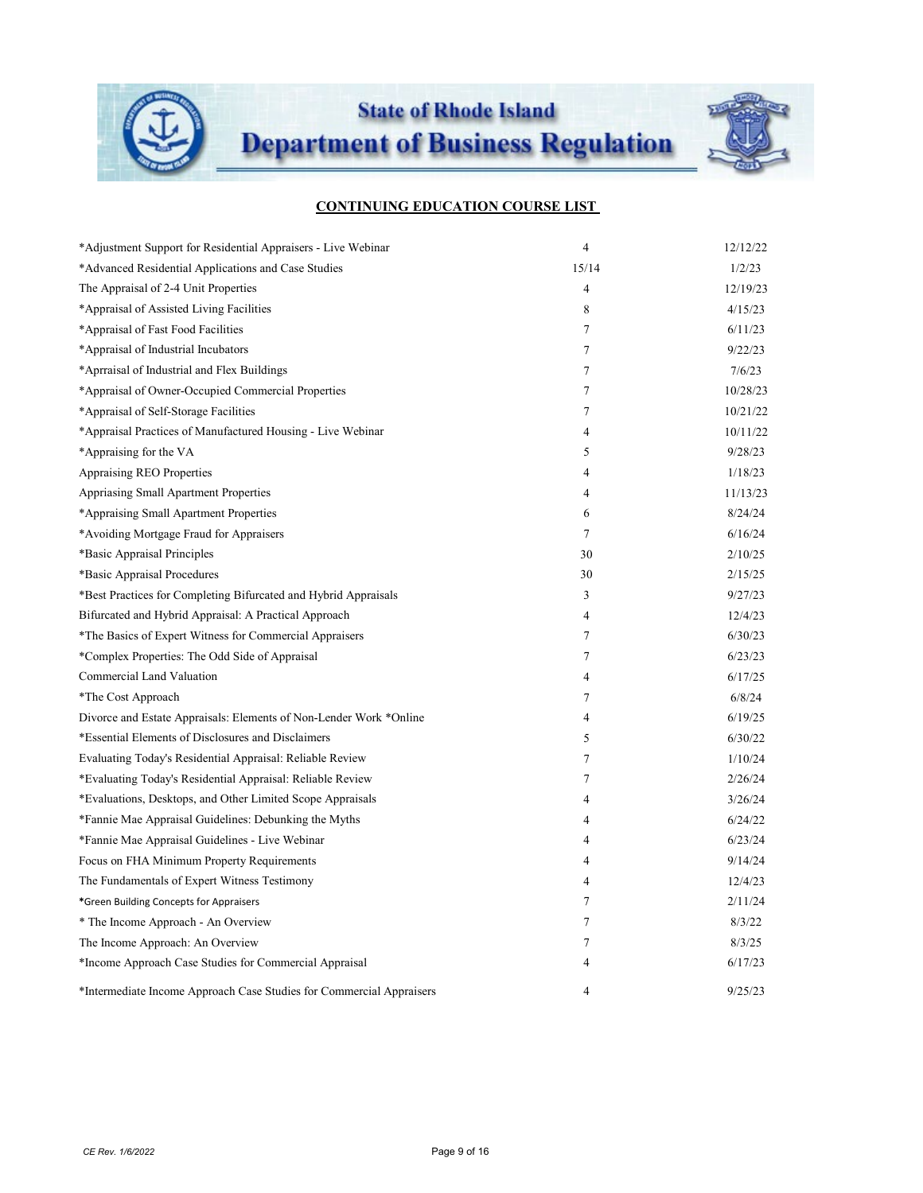

| *Adjustment Support for Residential Appraisers - Live Webinar        | $\overline{4}$ | 12/12/22 |
|----------------------------------------------------------------------|----------------|----------|
| *Advanced Residential Applications and Case Studies                  | 15/14          | 1/2/23   |
| The Appraisal of 2-4 Unit Properties                                 | $\overline{4}$ | 12/19/23 |
| *Appraisal of Assisted Living Facilities                             | 8              | 4/15/23  |
| *Appraisal of Fast Food Facilities                                   | $\tau$         | 6/11/23  |
| *Appraisal of Industrial Incubators                                  | $\tau$         | 9/22/23  |
| *Aprraisal of Industrial and Flex Buildings                          | 7              | 7/6/23   |
| *Appraisal of Owner-Occupied Commercial Properties                   | 7              | 10/28/23 |
| *Appraisal of Self-Storage Facilities                                | 7              | 10/21/22 |
| *Appraisal Practices of Manufactured Housing - Live Webinar          | 4              | 10/11/22 |
| *Appraising for the VA                                               | 5              | 9/28/23  |
| Appraising REO Properties                                            | 4              | 1/18/23  |
| Appriasing Small Apartment Properties                                | 4              | 11/13/23 |
| *Appraising Small Apartment Properties                               | 6              | 8/24/24  |
| *Avoiding Mortgage Fraud for Appraisers                              | $\tau$         | 6/16/24  |
| *Basic Appraisal Principles                                          | 30             | 2/10/25  |
| *Basic Appraisal Procedures                                          | 30             | 2/15/25  |
| *Best Practices for Completing Bifurcated and Hybrid Appraisals      | 3              | 9/27/23  |
| Bifurcated and Hybrid Appraisal: A Practical Approach                | 4              | 12/4/23  |
| *The Basics of Expert Witness for Commercial Appraisers              | 7              | 6/30/23  |
| *Complex Properties: The Odd Side of Appraisal                       | 7              | 6/23/23  |
| Commercial Land Valuation                                            | 4              | 6/17/25  |
| *The Cost Approach                                                   | 7              | 6/8/24   |
| Divorce and Estate Appraisals: Elements of Non-Lender Work *Online   | 4              | 6/19/25  |
| *Essential Elements of Disclosures and Disclaimers                   | 5              | 6/30/22  |
| Evaluating Today's Residential Appraisal: Reliable Review            | $\tau$         | 1/10/24  |
| *Evaluating Today's Residential Appraisal: Reliable Review           | 7              | 2/26/24  |
| *Evaluations, Desktops, and Other Limited Scope Appraisals           | 4              | 3/26/24  |
| *Fannie Mae Appraisal Guidelines: Debunking the Myths                | 4              | 6/24/22  |
| *Fannie Mae Appraisal Guidelines - Live Webinar                      | 4              | 6/23/24  |
| Focus on FHA Minimum Property Requirements                           | 4              | 9/14/24  |
| The Fundamentals of Expert Witness Testimony                         | 4              | 12/4/23  |
| *Green Building Concepts for Appraisers                              | 7              | 2/11/24  |
| * The Income Approach - An Overview                                  | 7              | 8/3/22   |
| The Income Approach: An Overview                                     | 7              | 8/3/25   |
| *Income Approach Case Studies for Commercial Appraisal               | 4              | 6/17/23  |
| *Intermediate Income Approach Case Studies for Commercial Appraisers | 4              | 9/25/23  |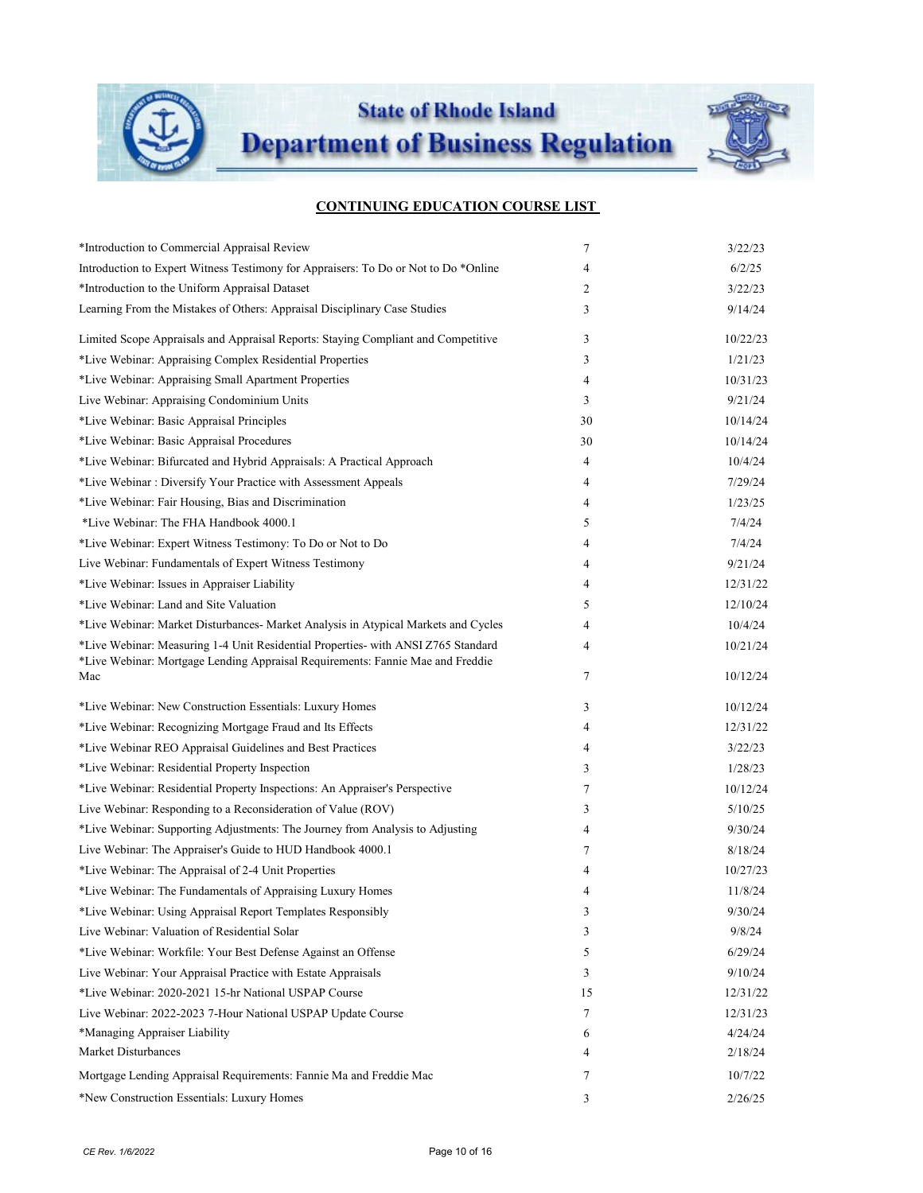

**State of Rhode Island** 

**Department of Business Regulation** 



| *Introduction to Commercial Appraisal Review                                                                                                                        | 7  | 3/22/23  |
|---------------------------------------------------------------------------------------------------------------------------------------------------------------------|----|----------|
| Introduction to Expert Witness Testimony for Appraisers: To Do or Not to Do *Online                                                                                 | 4  | 6/2/25   |
| *Introduction to the Uniform Appraisal Dataset                                                                                                                      | 2  | 3/22/23  |
| Learning From the Mistakes of Others: Appraisal Disciplinary Case Studies                                                                                           | 3  | 9/14/24  |
| Limited Scope Appraisals and Appraisal Reports: Staying Compliant and Competitive                                                                                   | 3  | 10/22/23 |
| *Live Webinar: Appraising Complex Residential Properties                                                                                                            | 3  | 1/21/23  |
| *Live Webinar: Appraising Small Apartment Properties                                                                                                                | 4  | 10/31/23 |
| Live Webinar: Appraising Condominium Units                                                                                                                          | 3  | 9/21/24  |
| *Live Webinar: Basic Appraisal Principles                                                                                                                           | 30 | 10/14/24 |
| *Live Webinar: Basic Appraisal Procedures                                                                                                                           | 30 | 10/14/24 |
| *Live Webinar: Bifurcated and Hybrid Appraisals: A Practical Approach                                                                                               | 4  | 10/4/24  |
| *Live Webinar: Diversify Your Practice with Assessment Appeals                                                                                                      | 4  | 7/29/24  |
| *Live Webinar: Fair Housing, Bias and Discrimination                                                                                                                | 4  | 1/23/25  |
| *Live Webinar: The FHA Handbook 4000.1                                                                                                                              | 5  | 7/4/24   |
| *Live Webinar: Expert Witness Testimony: To Do or Not to Do                                                                                                         | 4  | 7/4/24   |
| Live Webinar: Fundamentals of Expert Witness Testimony                                                                                                              | 4  | 9/21/24  |
| *Live Webinar: Issues in Appraiser Liability                                                                                                                        | 4  | 12/31/22 |
| *Live Webinar: Land and Site Valuation                                                                                                                              | 5  | 12/10/24 |
| *Live Webinar: Market Disturbances- Market Analysis in Atypical Markets and Cycles                                                                                  | 4  | 10/4/24  |
| *Live Webinar: Measuring 1-4 Unit Residential Properties- with ANSI Z765 Standard<br>*Live Webinar: Mortgage Lending Appraisal Requirements: Fannie Mae and Freddie | 4  | 10/21/24 |
| Mac                                                                                                                                                                 | 7  | 10/12/24 |
| *Live Webinar: New Construction Essentials: Luxury Homes                                                                                                            | 3  | 10/12/24 |
| *Live Webinar: Recognizing Mortgage Fraud and Its Effects                                                                                                           | 4  | 12/31/22 |
| *Live Webinar REO Appraisal Guidelines and Best Practices                                                                                                           | 4  | 3/22/23  |
| *Live Webinar: Residential Property Inspection                                                                                                                      | 3  | 1/28/23  |
| *Live Webinar: Residential Property Inspections: An Appraiser's Perspective                                                                                         | 7  | 10/12/24 |
| Live Webinar: Responding to a Reconsideration of Value (ROV)                                                                                                        | 3  | 5/10/25  |
| *Live Webinar: Supporting Adjustments: The Journey from Analysis to Adjusting                                                                                       | 4  | 9/30/24  |
| Live Webinar: The Appraiser's Guide to HUD Handbook 4000.1                                                                                                          | 7  | 8/18/24  |
| *Live Webinar: The Appraisal of 2-4 Unit Properties                                                                                                                 | 4  | 10/27/23 |
| *Live Webinar: The Fundamentals of Appraising Luxury Homes                                                                                                          | 4  | 11/8/24  |
| *Live Webinar: Using Appraisal Report Templates Responsibly                                                                                                         | 3  | 9/30/24  |
| Live Webinar: Valuation of Residential Solar                                                                                                                        | 3  | 9/8/24   |
| *Live Webinar: Workfile: Your Best Defense Against an Offense                                                                                                       | 5  | 6/29/24  |
| Live Webinar: Your Appraisal Practice with Estate Appraisals                                                                                                        | 3  | 9/10/24  |
| *Live Webinar: 2020-2021 15-hr National USPAP Course                                                                                                                | 15 | 12/31/22 |
| Live Webinar: 2022-2023 7-Hour National USPAP Update Course                                                                                                         | 7  | 12/31/23 |
| *Managing Appraiser Liability                                                                                                                                       | 6  | 4/24/24  |
| <b>Market Disturbances</b>                                                                                                                                          | 4  | 2/18/24  |
| Mortgage Lending Appraisal Requirements: Fannie Ma and Freddie Mac                                                                                                  | 7  | 10/7/22  |
| *New Construction Essentials: Luxury Homes                                                                                                                          | 3  | 2/26/25  |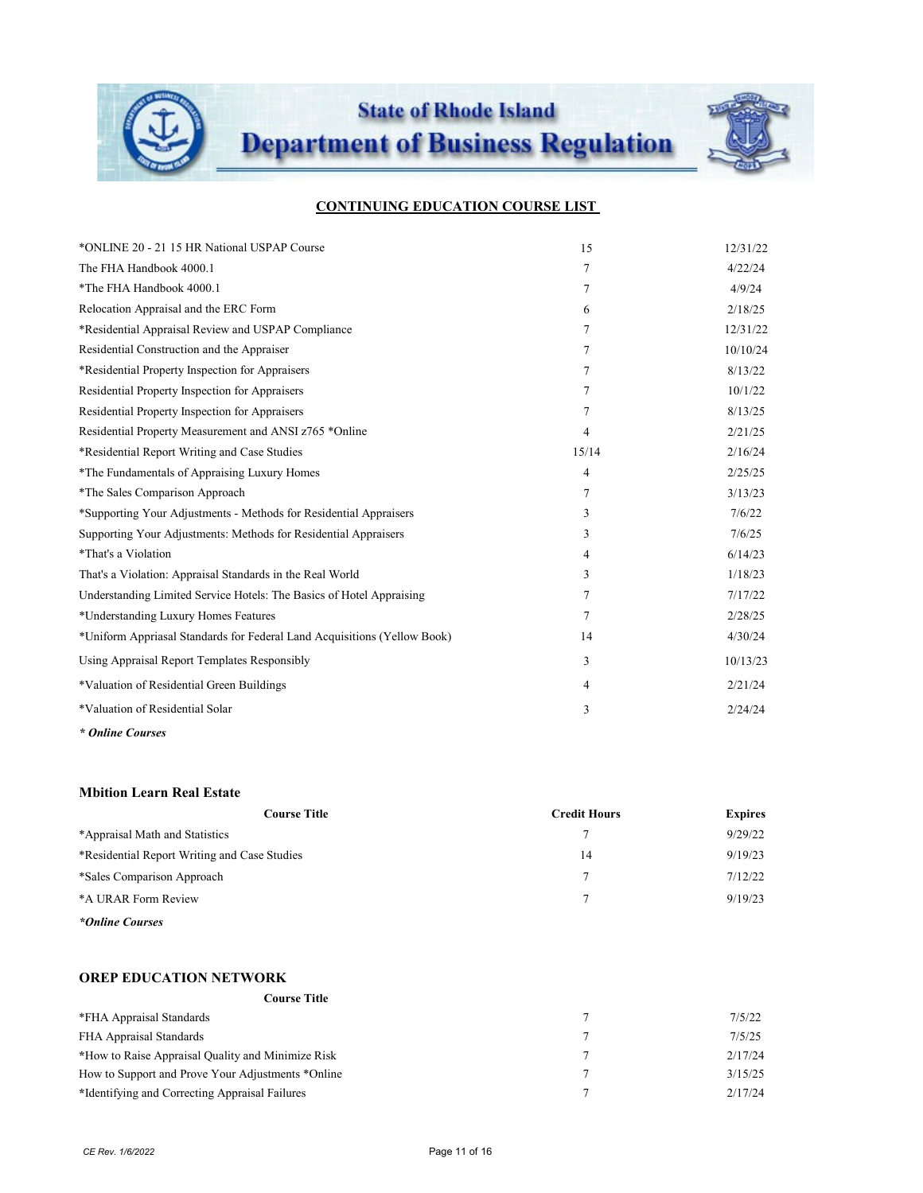

| *ONLINE 20 - 21 15 HR National USPAP Course                              | 15             | 12/31/22 |
|--------------------------------------------------------------------------|----------------|----------|
| The FHA Handbook 4000.1                                                  | 7              | 4/22/24  |
| *The FHA Handbook 4000.1                                                 | 7              | 4/9/24   |
| Relocation Appraisal and the ERC Form                                    | 6              | 2/18/25  |
| *Residential Appraisal Review and USPAP Compliance                       | 7              | 12/31/22 |
| Residential Construction and the Appraiser                               | 7              | 10/10/24 |
| *Residential Property Inspection for Appraisers                          | 7              | 8/13/22  |
| Residential Property Inspection for Appraisers                           | 7              | 10/1/22  |
| Residential Property Inspection for Appraisers                           | 7              | 8/13/25  |
| Residential Property Measurement and ANSI z765 *Online                   | $\overline{4}$ | 2/21/25  |
| *Residential Report Writing and Case Studies                             | 15/14          | 2/16/24  |
| *The Fundamentals of Appraising Luxury Homes                             | 4              | 2/25/25  |
| *The Sales Comparison Approach                                           | 7              | 3/13/23  |
| *Supporting Your Adjustments - Methods for Residential Appraisers        | 3              | 7/6/22   |
| Supporting Your Adjustments: Methods for Residential Appraisers          | 3              | 7/6/25   |
| *That's a Violation                                                      | 4              | 6/14/23  |
| That's a Violation: Appraisal Standards in the Real World                | 3              | 1/18/23  |
| Understanding Limited Service Hotels: The Basics of Hotel Appraising     | 7              | 7/17/22  |
| *Understanding Luxury Homes Features                                     | 7              | 2/28/25  |
| *Uniform Appriasal Standards for Federal Land Acquisitions (Yellow Book) | 14             | 4/30/24  |
| Using Appraisal Report Templates Responsibly                             | 3              | 10/13/23 |
| *Valuation of Residential Green Buildings                                | 4              | 2/21/24  |
| *Valuation of Residential Solar                                          | 3              | 2/24/24  |
|                                                                          |                |          |

*\* Online Courses*

#### **Mbition Learn Real Estate**

| <b>Course Title</b>                          | <b>Credit Hours</b> | <b>Expires</b> |
|----------------------------------------------|---------------------|----------------|
| *Appraisal Math and Statistics               |                     | 9/29/22        |
| *Residential Report Writing and Case Studies | 14                  | 9/19/23        |
| *Sales Comparison Approach                   |                     | 7/12/22        |
| *A URAR Form Review                          |                     | 9/19/23        |
| $\mathbf{a}$ $\mathbf{b}$                    |                     |                |

*\*Online Courses*

## **OREP EDUCATION NETWORK**

#### **Course Title**

| *FHA Appraisal Standards                          | 7/5/22  |
|---------------------------------------------------|---------|
| FHA Appraisal Standards                           | 7/5/25  |
| *How to Raise Appraisal Quality and Minimize Risk | 2/17/24 |
| How to Support and Prove Your Adjustments *Online | 3/15/25 |
| *Identifying and Correcting Appraisal Failures    | 2/17/24 |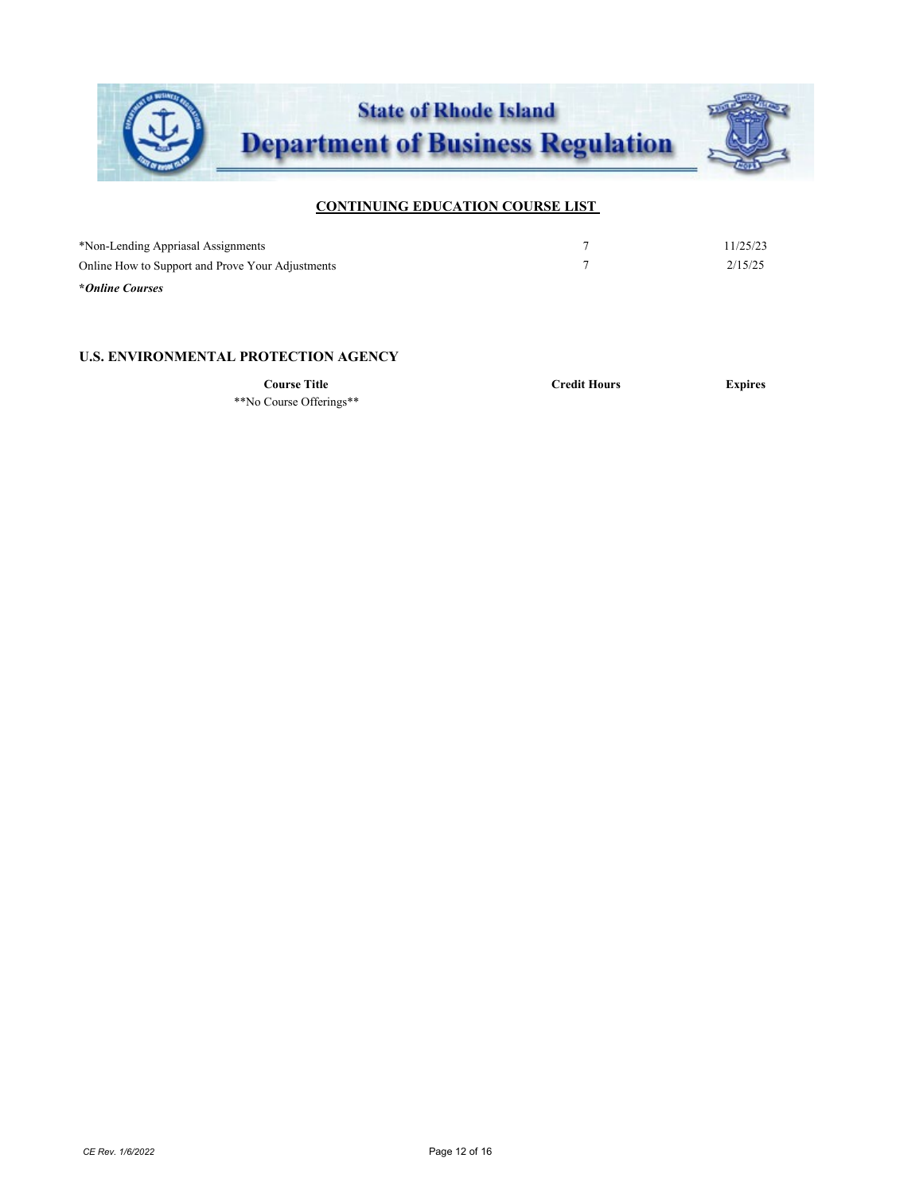

| *Non-Lending Appriasal Assignments               | 11/25/23 |
|--------------------------------------------------|----------|
| Online How to Support and Prove Your Adjustments | 2/15/25  |
| *Online Courses                                  |          |

#### **U.S. ENVIRONMENTAL PROTECTION AGENCY**

\*\*No Course Offerings\*\*

**Course Title Credit Hours Expires**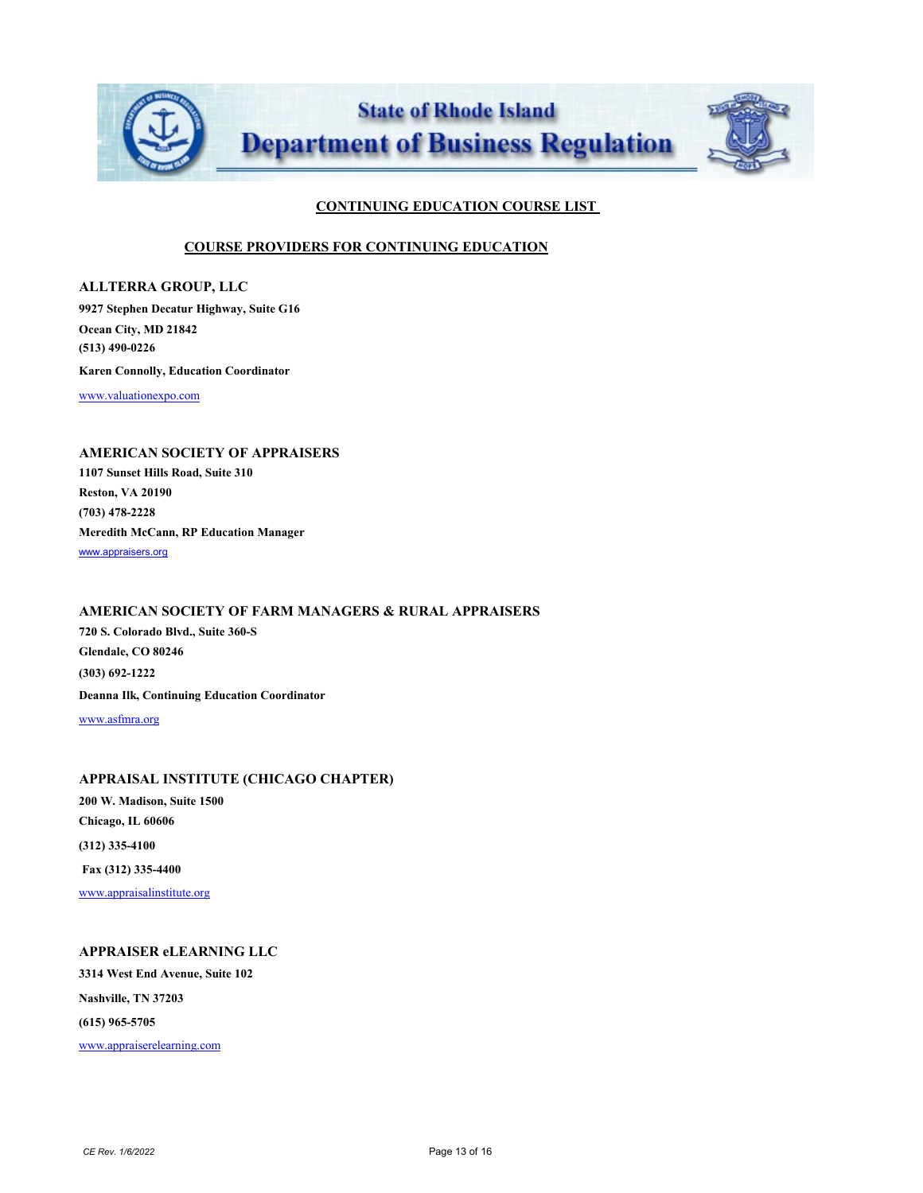

#### **COURSE PROVIDERS FOR CONTINUING EDUCATION**

**ALLTERRA GROUP, LLC 9927 Stephen Decatur Highway, Suite G16 Ocean City, MD 21842 (513) 490-0226 Karen Connolly, Education Coordinator** [www.valuationexpo.com](http://www.valuationexpo.com/)

## **AMERICAN SOCIETY OF APPRAISERS**

**1107 Sunset Hills Road, Suite 310 Reston, VA 20190 (703) 478-2228 Meredith McCann, RP Education Manager**  [www.appraisers.org](http://www.appraisers.org/)

# **AMERICAN SOCIETY OF FARM MANAGERS & RURAL APPRAISERS**

**720 S. Colorado Blvd., Suite 360-S Glendale, CO 80246 (303) 692-1222 Deanna Ilk, Continuing Education Coordinator** [www.asfmra.org](http://www.asfmra.org/)

#### **APPRAISAL INSTITUTE (CHICAGO CHAPTER)**

**200 W. Madison, Suite 1500 Chicago, IL 60606 (312) 335-4100 Fax (312) 335-4400** [www.appraisalinstitute.org](http://www.appraisalinstitute.org/)

## **APPRAISER eLEARNING LLC**

**3314 West End Avenue, Suite 102 Nashville, TN 37203 (615) 965-5705** [www.appraiserelearning.com](http://www.appraiserelearning.com/)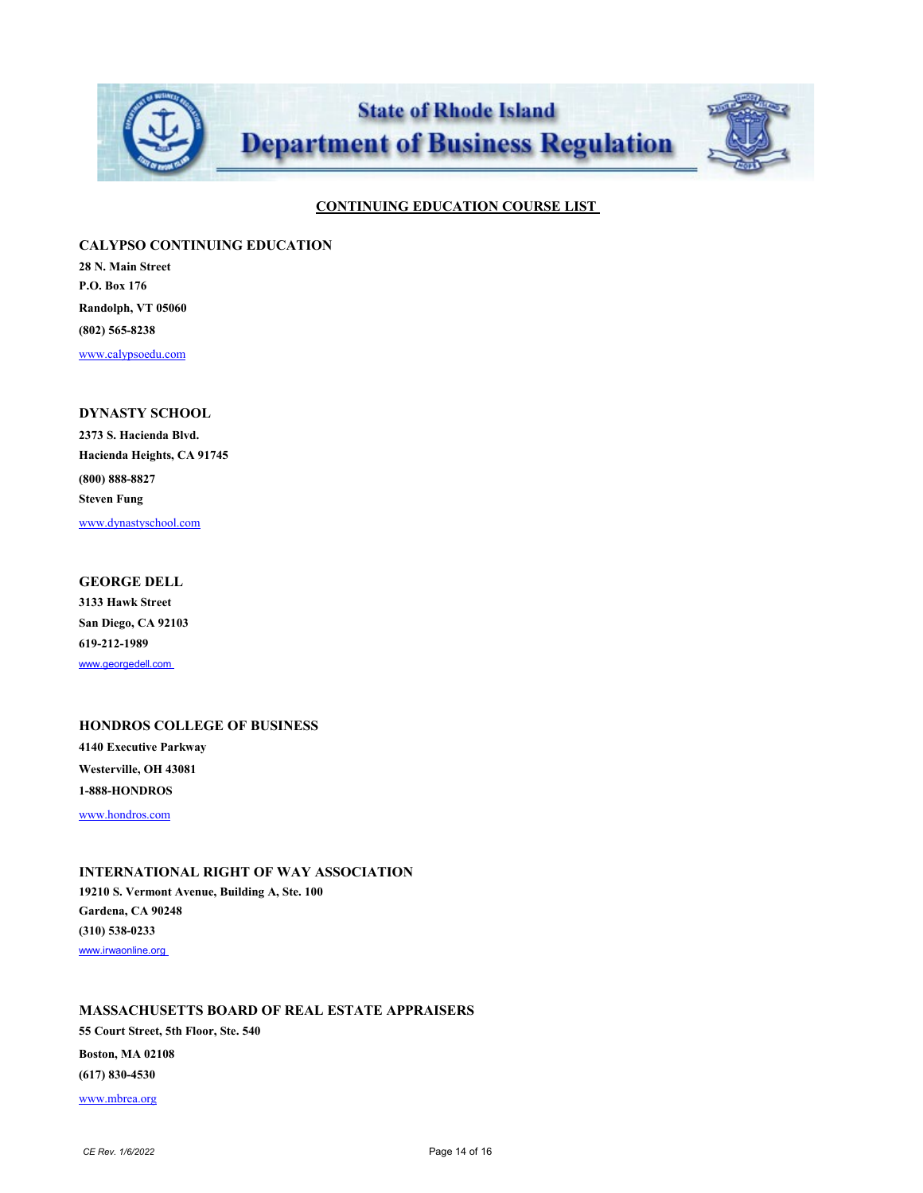

#### **CALYPSO CONTINUING EDUCATION**

**28 N. Main Street P.O. Box 176 Randolph, VT 05060 (802) 565-8238** [www.calypsoedu.com](http://www.calypsoedu.com/)

## **DYNASTY SCHOOL**

**2373 S. Hacienda Blvd. Hacienda Heights, CA 91745 (800) 888-8827 Steven Fung** [www.dynastyschool.com](http://www.dynastyschool.com/)

#### **GEORGE DELL**

**3133 Hawk Street San Diego, CA 92103 619-212-1989** [www.georgedell.com](http://www.georgedell.com/) 

# **HONDROS COLLEGE OF BUSINESS 4140 Executive Parkway Westerville, OH 43081 1-888-HONDROS**

[www.hondros.com](http://www.hondros.com/)

### **INTERNATIONAL RIGHT OF WAY ASSOCIATION**

**19210 S. Vermont Avenue, Building A, Ste. 100 Gardena, CA 90248 (310) 538-0233** www.irwaonline.org

## **MASSACHUSETTS BOARD OF REAL ESTATE APPRAISERS**

**55 Court Street, 5th Floor, Ste. 540 Boston, MA 02108 (617) 830-4530** [www.mbrea.org](http://www.mbrea.org/)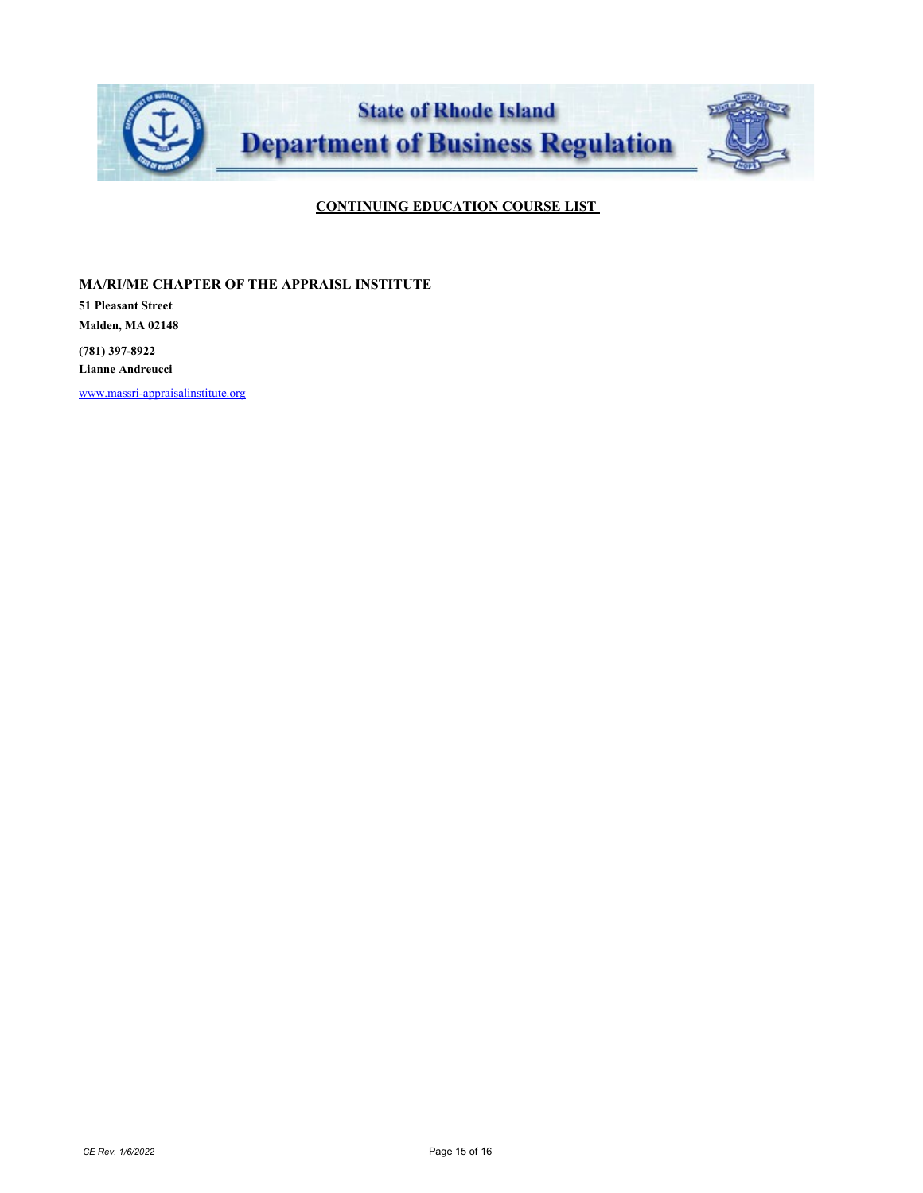

**MA/RI/ME CHAPTER OF THE APPRAISL INSTITUTE**

**51 Pleasant Street Malden, MA 02148**

**(781) 397-8922 Lianne Andreucci**

[www.massri-appraisalinstitute.org](http://www.massri-appraisalinstitute.org/)